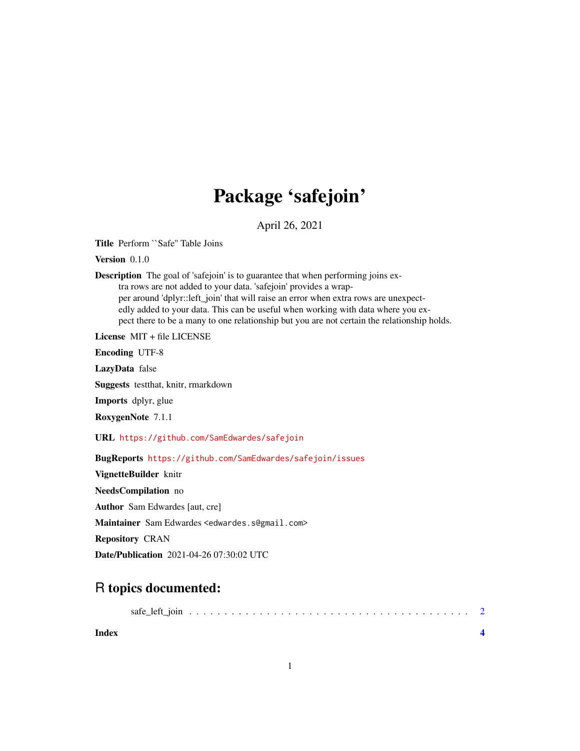## Package 'safejoin'

April 26, 2021

<span id="page-0-0"></span>Title Perform ``Safe'' Table Joins

Version 0.1.0

Description The goal of 'safejoin' is to guarantee that when performing joins extra rows are not added to your data. 'safejoin' provides a wrapper around 'dplyr::left\_join' that will raise an error when extra rows are unexpectedly added to your data. This can be useful when working with data where you expect there to be a many to one relationship but you are not certain the relationship holds.

License MIT + file LICENSE

Encoding UTF-8

LazyData false

Suggests testthat, knitr, rmarkdown

Imports dplyr, glue

RoxygenNote 7.1.1

URL <https://github.com/SamEdwardes/safejoin>

BugReports <https://github.com/SamEdwardes/safejoin/issues>

VignetteBuilder knitr

NeedsCompilation no

Author Sam Edwardes [aut, cre]

Maintainer Sam Edwardes <edwardes.s@gmail.com>

Repository CRAN

Date/Publication 2021-04-26 07:30:02 UTC

### R topics documented:

|--|--|--|--|--|--|--|--|--|--|--|--|--|--|--|--|--|--|--|--|--|--|--|--|--|--|--|--|--|--|--|--|--|--|--|

**Index** [4](#page-3-0)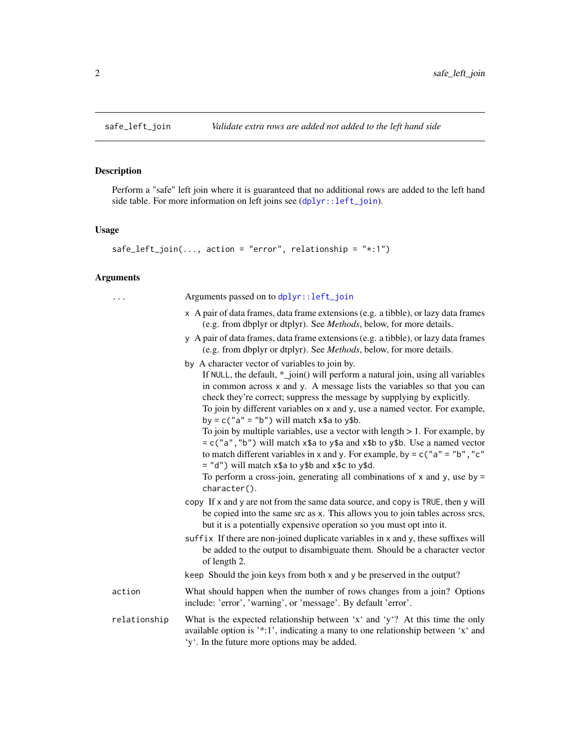<span id="page-1-0"></span>

#### **Description**

Perform a "safe" left join where it is guaranteed that no additional rows are added to the left hand side table. For more information on left joins see ([dplyr::left\\_join](#page-0-0)).

#### Usage

```
safe\_left\_join(..., action = "error", relationship = "*:1")
```
#### Arguments

... Arguments passed on to [dplyr::left\\_join](#page-0-0)

- x A pair of data frames, data frame extensions (e.g. a tibble), or lazy data frames (e.g. from dbplyr or dtplyr). See *Methods*, below, for more details.
- y A pair of data frames, data frame extensions (e.g. a tibble), or lazy data frames (e.g. from dbplyr or dtplyr). See *Methods*, below, for more details.
- by A character vector of variables to join by.

If NULL, the default, \*\_join() will perform a natural join, using all variables in common across x and y. A message lists the variables so that you can check they're correct; suppress the message by supplying by explicitly. To join by different variables on x and y, use a named vector. For example,

by  $= c("a" = "b")$  will match x\$a to y\$b. To join by multiple variables, use a vector with length > 1. For example, by = c("a","b") will match x\$a to y\$a and x\$b to y\$b. Use a named vector to match different variables in x and y. For example, by =  $c("a" = "b", "c"$ 

 $=$  "d") will match  $x$ \$a to  $y$ \$b and  $x$ \$c to  $y$ \$d.

To perform a cross-join, generating all combinations of  $x$  and  $y$ , use by  $=$ character().

- copy If x and y are not from the same data source, and copy is TRUE, then y will be copied into the same src as x. This allows you to join tables across srcs, but it is a potentially expensive operation so you must opt into it.
- suffix If there are non-joined duplicate variables in x and y, these suffixes will be added to the output to disambiguate them. Should be a character vector of length 2.
- keep Should the join keys from both x and y be preserved in the output?
- action What should happen when the number of rows changes from a join? Options include: 'error', 'warning', or 'message'. By default 'error'.
- relationship What is the expected relationship between 'x' and 'y'? At this time the only available option is '\*:1', indicating a many to one relationship between 'x' and 'y'. In the future more options may be added.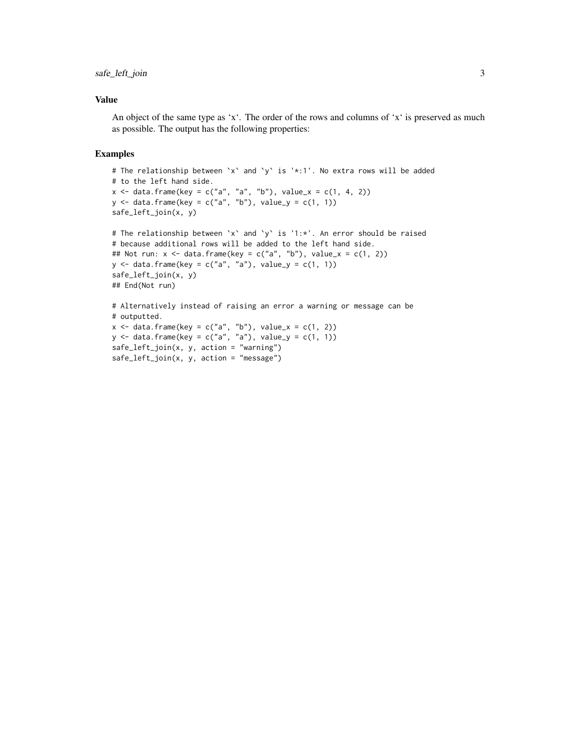#### Value

An object of the same type as 'x'. The order of the rows and columns of 'x' is preserved as much as possible. The output has the following properties:

#### Examples

```
# The relationship between `x` and `y` is '*:1'. No extra rows will be added
# to the left hand side.
x \le - data.frame(key = c("a", "a", "b"), value_x = c(1, 4, 2))
y \le - data.frame(key = c("a", "b"), value_y = c(1, 1))
safe_left_join(x, y)
# The relationship between `x` and `y` is '1:*'. An error should be raised
# because additional rows will be added to the left hand side.
## Not run: x \leq data.frame(key = c("a", "b"), value_x = c(1, 2))
y \leq data.frame(key = c("a", "a"), value_y = c(1, 1))
safe_left_join(x, y)
## End(Not run)
# Alternatively instead of raising an error a warning or message can be
# outputted.
x \le - data.frame(key = c("a", "b"), value_x = c(1, 2))
y \le - data.frame(key = c("a", "a"), value_y = c(1, 1))
safe_left_join(x, y, action = "warning")
safe_left_join(x, y, action = "message")
```